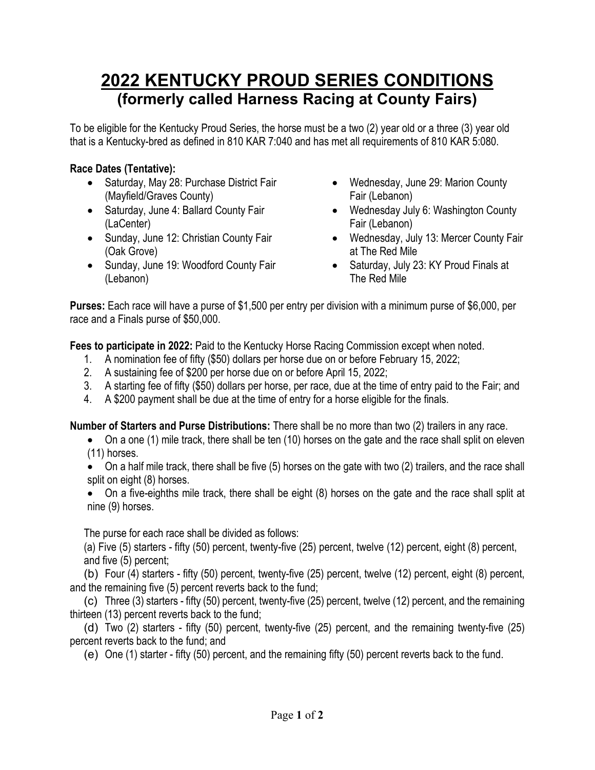## **2022 KENTUCKY PROUD SERIES CONDITIONS (formerly called Harness Racing at County Fairs)**

To be eligible for the Kentucky Proud Series, the horse must be a two (2) year old or a three (3) year old that is a Kentucky-bred as defined in 810 KAR 7:040 and has met all requirements of 810 KAR 5:080.

## **Race Dates (Tentative):**

- Saturday, May 28: Purchase District Fair (Mayfield/Graves County)
- Saturday, June 4: Ballard County Fair (LaCenter)
- Sunday, June 12: Christian County Fair (Oak Grove)
- Sunday, June 19: Woodford County Fair (Lebanon)
- Wednesday, June 29: Marion County Fair (Lebanon)
- Wednesday July 6: Washington County Fair (Lebanon)
- Wednesday, July 13: Mercer County Fair at The Red Mile
- Saturday, July 23: KY Proud Finals at The Red Mile

**Purses:** Each race will have a purse of \$1,500 per entry per division with a minimum purse of \$6,000, per race and a Finals purse of \$50,000.

**Fees to participate in 2022:** Paid to the Kentucky Horse Racing Commission except when noted.

- 1. A nomination fee of fifty (\$50) dollars per horse due on or before February 15, 2022;
- 2. A sustaining fee of \$200 per horse due on or before April 15, 2022;
- 3. A starting fee of fifty (\$50) dollars per horse, per race, due at the time of entry paid to the Fair; and
- 4. A \$200 payment shall be due at the time of entry for a horse eligible for the finals.

**Number of Starters and Purse Distributions:** There shall be no more than two (2) trailers in any race.

• On a one (1) mile track, there shall be ten (10) horses on the gate and the race shall split on eleven (11) horses.

• On a half mile track, there shall be five (5) horses on the gate with two (2) trailers, and the race shall split on eight (8) horses.

• On a five-eighths mile track, there shall be eight (8) horses on the gate and the race shall split at nine (9) horses.

The purse for each race shall be divided as follows:

(a) Five (5) starters - fifty (50) percent, twenty-five (25) percent, twelve (12) percent, eight (8) percent, and five (5) percent;

(b) Four (4) starters - fifty (50) percent, twenty-five (25) percent, twelve (12) percent, eight (8) percent, and the remaining five (5) percent reverts back to the fund;

(c) Three (3) starters - fifty (50) percent, twenty-five (25) percent, twelve (12) percent, and the remaining thirteen (13) percent reverts back to the fund;

(d) Two (2) starters - fifty (50) percent, twenty-five (25) percent, and the remaining twenty-five (25) percent reverts back to the fund; and

(e) One (1) starter - fifty (50) percent, and the remaining fifty (50) percent reverts back to the fund.